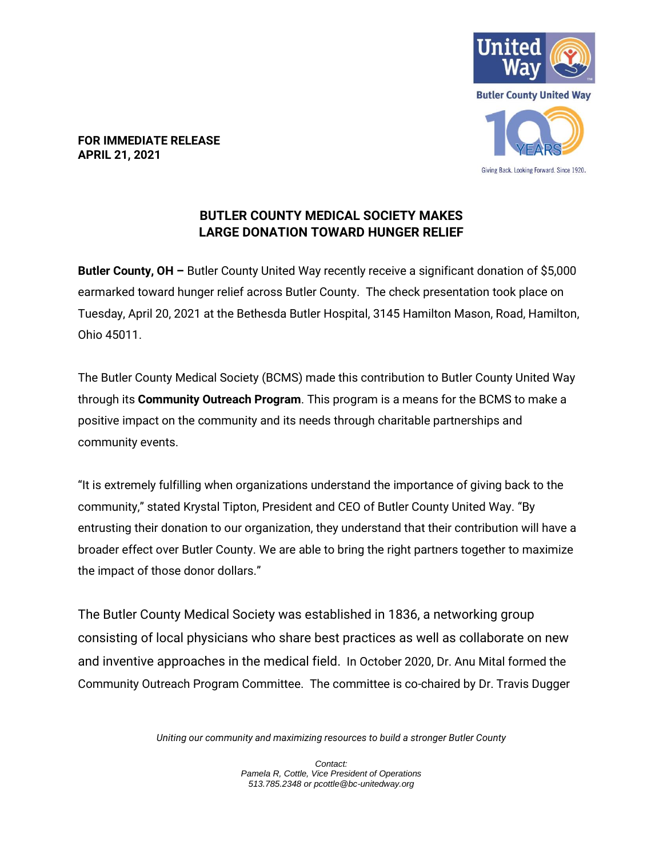

**FOR IMMEDIATE RELEASE APRIL 21, 2021**

## **BUTLER COUNTY MEDICAL SOCIETY MAKES LARGE DONATION TOWARD HUNGER RELIEF**

**Butler County, OH –** Butler County United Way recently receive a significant donation of \$5,000 earmarked toward hunger relief across Butler County. The check presentation took place on Tuesday, April 20, 2021 at the Bethesda Butler Hospital, 3145 Hamilton Mason, Road, Hamilton, Ohio 45011.

The Butler County Medical Society (BCMS) made this contribution to Butler County United Way through its **Community Outreach Program**. This program is a means for the BCMS to make a positive impact on the community and its needs through charitable partnerships and community events.

"It is extremely fulfilling when organizations understand the importance of giving back to the community," stated Krystal Tipton, President and CEO of Butler County United Way. "By entrusting their donation to our organization, they understand that their contribution will have a broader effect over Butler County. We are able to bring the right partners together to maximize the impact of those donor dollars."

The Butler County Medical Society was established in 1836, a networking group consisting of local physicians who share best practices as well as collaborate on new and inventive approaches in the medical field. In October 2020, Dr. Anu Mital formed the Community Outreach Program Committee. The committee is co-chaired by Dr. Travis Dugger

*Uniting our community and maximizing resources to build a stronger Butler County*

*Contact: Pamela R, Cottle, Vice President of Operations 513.785.2348 or pcottle@bc-unitedway.org*